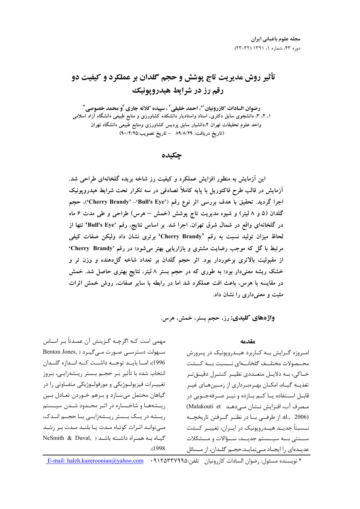# تأثیر روش مدیریت تاج پوشش و حجم گلدان بر عملکرد و کیفیت دو رقم رز در شرایط هیدرویونیک

رضوان السادات كازرونيان ً"، احمد خليقي ً ، سپيده كلاته جاري ًو محمد خصوصي ً ۱، ۲، ۳، دانشجوی سابق دکتری، استاد واستادیار دانشکده کشاورزی و منابع طبیعی دانشگاه آزاد اسلامی واحد علوم تحقیقات تهران ۰.۴دانشیار سابق پردیس کشاورزی ومنابع طبیعی دانشگاه تهران (تاريخ دريافت: ٨٩/٨/٢٩ - تاريخ تصويب:٩٠/٢/٢٥)

جكىدە

این آزمایش به منظور افزایش عملکرد و کیفیت رز شاخه بریده گلخانهای طراحی شد. اَزمایش در قالب طرح فاکتوریل با پایه کاملاً تصادفی در سه تکرار تحت شرایط هیدروپونیک اجرا گردید. تحقیق با هدف بررسی اثر نوع رقم ('Cherry Brandy' -'Bull's Eye')، حجم گلدان (۵ و ۸ لیتر) و شیوه مدیریت تاج پوشش (خمش – هرس) طراحی و طی مدت ۶ ماه در گلخانهای واقع در شمال شرق تهران، اجرا شد. بر اساس نتایج، رقم 'Bull's Eye' تنها از لحاظ میزان تولید نسبت به رقم 'Cherry Brandy' برتری نشان داد ولیکن صفات کیفی مرتبط با گل که موجب رضایت مشتری و بازاریابی بهتر میشود؛ در رقم 'Cherry Brandy' از مقبولیت بالاتری برخوردار بود. اثر حجم گلدان بر تعداد شاخه گل(دهنده و وزن تر و خشک ریشه معنیدار بود؛ به طوری که در حجم بستر ۸ لیتر، نتایج بهتری حاصل شد. خمش در مقایسه با هرس، باعث افت عملکرد شد اما در رابطه با سایر صفات، روش خمش اثرات مثبت و معنی داری را نشان داد.

واژههای کلیدی: رز، حجم بستر، خمش، هرس.

#### مقدمه

امروزه گـرايش بـه كـاربرد هيـدروپونيک در پـرورش محــصولات مختلــف گلخانـــه|ى نـــسبت بـــه كـــشت خــاکی، بــه دلايــل متعــددی نظيــر کنتــرل دقيــقتــر تغذیــه گیــاه، امکــان بهــرەبــرداری از زمــینهــای غیــر قابــل اســتفاده يــا كــم بــازده و نيــز صــرفهجــويي در مصرف آب، افزايش نـشان مـى دهـد Malakouti et al., 2006). از طرفبی بــا در نظــر گــرفتن تاریخچــه نــسبتاً جدیــد هیــدروپونیک در ایــران، تغییــر کــشت ســنتي بــه سيـــستم جديــد، ســؤالات و مــشكلات عديـدهاي را ايجـاد مـى نمايـد.حجـم گلـدان، از مـسائل

مهمی است کـه اگرچـه گـزینش آن عمـدتاً بـر اسـاس سهولت دسترسی صورت میگیرد (Benton Jones, 1996)، امــا بايــد توجــه داشــت كــه انــدازه گلــدان انتخاب شده با تأثیر بـر حجـم بـستر ریـشهزایـی، بـروز تغییــرات فیزیولــوژیکی و مورفولــوژیکی متفــاوتی را در گیاهان محتمل می سـازد و بـرهم خـوردن تعـادل بـین ریسشهها و شاخساره در اثیر محیدود شیدن سییستم ریسشه در یک بیستر ریسشهزاییی بیا حجیم انیدک، مے توانـد اثـرات كوتـاه مـدت يـا بلنـد مـدت بـر رشـد NeSmith & Duval, ) كياه به همراه داشته باشد ( NeSmith & Duval,  $(1998$ 

\* نويسنده مسئول: رضوان السادات كازرونيان لتلفن:E-mail: haleh.kazeroonian@yahoo.com • 11 YATTY 990.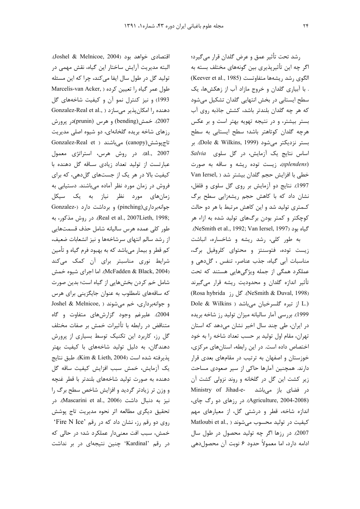رشد تحت تأثير عمق و عرض گلدان قرار مي گيرد؛ اگر چه این تأثیرپذیری بین گونههای مختلف بسته به الكوى رشد ريشهها متفاوتست (Keever et al., 1985) . با آبیاری گلدان و خروج مازاد آب از زهکشها، یک سطح ایستابی در بخش انتهایی گلدان تشکیل میشود كه هر چه گلدان بلندتر باشد، كشش جاذبه روى آب بستر بیشتر، و در نتیجه تهویه بهتر است و بر عکس هرچه گلدان کوتاهتر باشد؛ سطح ایستابی به سطح بستر نزدیکتر می شود (Dole & Wilkins, 1999). بر Salvia اساس نتايج يک آزمايش، در گل سلوى Salvia (splendens)، زیست توده ریشه و ساقه به صورت خطی با افزایش حجم گلدان بیشتر شد ( Van Iersel 1997). نتايج دو آزمايش بر روى گل سلوى و فلفل، نشان داد که با کاهش حجم ریشهزایی سطح برگ كـمترى توليد شد و اين كاهش مرتبط با هر دو حالت کوچکتر و کمتر بودن برگهای تولید شده به ازاء هر . (NeSmith et al., 1992; Van Iersel, 1997).

به طور کلی، رشد ریشه و شاخساره، انباشت زیست توده، فتوسنتز و محتوای کلروفیل برگ، مناسبات آبي گياه، جذب عناصر، تنفس ، گل دهي و عملکرد همگی از جمله ویژگیهایی هستند که تحت تأثیر اندازه گلدان و محدودیت ریشه قرار می گیرند (Rosa hybrida ). گل رز NeSmith & Duval, 1998). Dole & Wilkins ) از تیره گلسرخیان میباشد ( 1999). بررسی آمار سالیانه میزان تولید رز شاخه بریده در ایران، طی چند سال اخیر نشان میدهد که استان تهران، مقام اول توليد بر حسب تعداد شاخه را به خود اختصاص داده است. در این رابطه، استانهای مرکزی، خوزستان و اصفهان به ترتیب در مقامهای بعدی قرار دارند. همچنین آمارها حاکی از سیر صعودی مساحت زیر کشت این گل در گلخانه و روند نزولی کشت آن در فضای باز میباشد -Ministry of Jihad-e (Agriculture, 2004-2008). در رزهای دو رگ چای، اندازه شاخه، قطر و درشتی گل، از معیارهای مهم Matloubi et al., ) كيفيت در توليد محسوب مي شوند 2007). در رزها اگر چه تولید محصول در طول سال ادامه دارد، اما معمولاً حدود ۶ نوبت آن محصولدهی

اقتصادی خواهد بود (Joshel & Melnicoe, 2004). البته مدیریت آرایش ساختار این گیاه، نقش مهمی در تولید گل در طول سال ایفا می کند، چرا که این مسئله Marcelis-van Acker, ) طول عمر گیاه را تعیین کرده 1993) و نیز کنترل نمو آن و کیفیت شاخههای گل Gonzalez-Real et al., ) دهنده را امکان پذیر می سازد 2007). خمش(bending) و هرس (prunin)در پرورش رزهای شاخه بریده گلخانهای، دو شیوه اصلی مدیریت تاج پوشش(canopy) می باشند ( Gonzalez-Real et al., 2007). در روش هرس، استراتژی معمول عبارتست از تولید تعداد زیادی ساقه گل دهنده با کیفیت بالا در هر یک از جستهای گل دهی، که برای فروش در زمان مورد نظر آماده میباشند. دستیابی به زمانهای مورد نظر نیاز به یک سیکل جوانهبرداری(pinching) و برداشت دارد (-Gonzalez :Real et al., 2007Lieth, 1998). در روش مذكور، به طور كلى عمده هرس ساليانه شامل حذف قسمتهايي از رشد سالم انتهای سرشاخهها و نیز انشعابات ضعیف، کم قطر و بیمار میباشد که به بهبود فرم گیاه و تأمین شرایط نوری مناسبتر برای آن کمک میکند (McFadden & Black, 2004). اما اجراي شيوه خمش شامل خم کردن بخشهایی از گیاه است؛ بدین صورت که ساقههای نامطلوب به عنوان جایگزینی برای هرس و جوانهبرداري، خم مي شوند ( ,Joshel & Melnicoe 2004). علیرغم وجود گزارشهای متفاوت و گاه متناقض در رابطه با تأثيرات خمش بر صفات مختلف گل رز، کاربرد این تکنیک توسط بسیاری از پرورش دهندگان، به دلیل تولید شاخههای با کیفیت بهتر يذيرفته شده است (Kim & Lieth, 2004). طبق نتايج یک آزمایش، خمش سبب افزایش کیفیت ساقه گل دهنده به صورت تولید شاخههای بلندتر با قطر غنچه و وزن تر زیادتر گردید و افزایش شاخص سطح برگ را نيز به دنبال داشت (Mascarini et al., 2006). در تحقیق دیگری مطالعه اثر نحوه مدیریت تاج پوشش روی دو رقم رز، نشان داد که در رقم 'Fire N Ice' خمش، سبب افت معنیدار عملکرد شد؛ در حالی که در رقم 'Kardinal' چنین نتیجهای در بر نداشت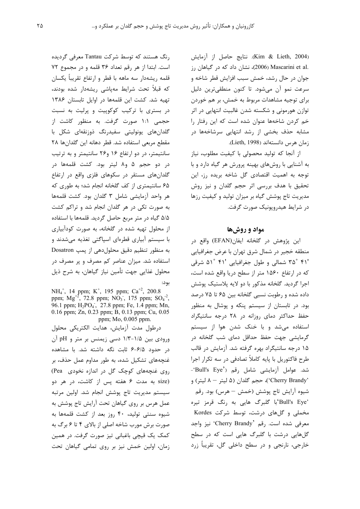(Kim & Lieth, 2004). نتايج حاصل از آزمايش .Mascarini et al (2006)، نشان داد که در گیاهان رز جوان در حال رشد، خمش سبب افزایش قطر شاخه و سرعت نمو آن میشود. تا کنون منطقیترین دلیل برای توجیه مشاهدات مربوط به خمش، بر هم خوردن توازن هورمونی و شکسته شدن غالبیت انتهایی در اثر خم کردن شاخهها عنوان شده است که این رفتار را مشابه حذف بخشی از رشد انتهایی سرشاخهها در زمان هرس دانستهاند (Lieth, 1998).

از آنجا که تولید محصولی با کیفیت مطلوب، نیاز به آشنایی با روشهای بهینه پرورش هر گیاه دارد و با توجه به اهمیت اقتصادی گل شاخه بریده رز، این تحقیق با هدف بررسی اثر حجم گلدان و نیز روش مدیریت تاج پوشش گیاه بر میزان تولید و کیفیت رزها در شرايط هيدروپونيک صورت گرفت.

# مواد و روشها

این پژوهش در گلخانه ایفان(EFAN) واقع در منطقه خجیر در شمال شرق تهران با عرض جغرافیایی ۴۱٬ ۳۵° شمالی و طول جغرافیایی '۴۱ °۵۱ شرقی که در ارتفاع ۱۵۶۰ متر از سطح دریا واقع شده است، اجرا گرديد. گلخانه مذكور با دو لايه پلاستيک پوشش داده شده و رطوبت نسبی گلخانه بین ۶۵ تا ۷۵ درصد بود. در تابستان از سیستم پنکه و پوشال به منظور حفظ حداکثر دمای روزانه در ۲۸ درجه سانتیگراد استفاده میشد و با خنک شدن هوا از سیستم گرمایشی جهت حفظ حداقل دمای شب گلخانه در ۱۵ درجه سانتیگراد بهره گرفته شد. آزمایش در قالب طرح فاکتوریل با پایه کاملاً تصادفی در سه تکرار اجرا شد. عوامل آزمایشی شامل رقم ('Bull's Eye' 'Cherry Brandy')، حجم گلدان (۵ ليتر - ۸ ليتر) و شيوه آرايش تاج پوشش (خمش – هرس) بود. رقم 'Bull's Eye'با گلبرگ هایی به رنگ قرمز تیره مخملی و گلهای درشت، توسط شرکت Kordes معرفی شده است. رقم 'Cherry Brandy' نیز واجد گلهایی درشت با گلبرگ هایی است که در سطح خارجي، نارنجي و در سطح داخلي گل، تقريباً زرد

رنگ هستند که توسط شرکت Tantau معرفی گردیده است. ابتدا از هر رقم تعداد ٣۶ قلمه و در مجموع ٧٢ قلمه ريشهدار سه ماهه با قطر و ارتفاع تقريباً يكسان که قبلاً تحت شرایط مهپاشی ریشهدار شده بودند، تهیه شد. کشت این قلمهها در اوایل تابستان ۱۳۸۶ در بستری با ترکیب کوکوپیت و پرلیت به نسبت حجمی ۱:۱ صورت گرفت. به منظور کاشت از گلدانهای یونولیتی سفیدرنگ ذوزنقهای شکل با مقطع مربعى استفاده شد. قطر دهانه اين كلدانها ٢٨ سانتیمتر، در دو ارتفاع ۱۶ و۲۶ سانتیمتر و به ترتیب در دو حجم ۵ و۸ لیتر بود. کشت قلمهها در گلدانهای مستقر در سکوهای فلزی واقع در ارتفاع ۶۵ سانتیمتری از کف گلخانه انجام شد؛ به طوری که هر واحد آزمایشی شامل ۳ گلدان بود. کشت قلمهها به صورت تکی در هر گلدان انجام شد و تراکم کشت ۵/۵ گیاه در متر مربع حاصل گردید. قلمهها با استفاده از محلول تهیه شده در گلخانه، به صورت کودآبیاری با سیستم آبیاری قطرهای اسپاگتی تغذیه میشدند و به منظور تنظیم دقیق محلول دهی از پمپ Dosatron استفاده شد. میزان عناصر کم مصرف و پر مصرف در محلول غذایی جهت تأمین نیاز گیاهان، به شرح ذیل

NH<sub>4</sub><sup>+</sup>, 14 ppm; K<sup>+</sup>, 195 ppm; Ca<sup>+2</sup>, 200.8 ppm;  $Mg^{+2}$ , 72.8 ppm;  $NO_3$ , 175 ppm;  $SO_4$ <sup>-2</sup> 96.1 ppm; H<sub>2</sub>PO<sub>4</sub>, 27.8 ppm; Fe, 1.4 ppm; Mn, 0.16 ppm; Zn, 0.23 ppm; B, 0.13 ppm; Cu, 0.05 ppm; Mo, 0.005 ppm.

درطول مدت آزمایش، هدایت الکتریکی محلول ورودی بین ۱/۵-۱/۳ دسی زیمنس بر متر و pH آن در حدود ۶-۶/۵ ثابت نگه داشته شد. با مشاهده غنچههای تشکیل شده، به طور مداوم عمل حذف، بر روی غنجههای کوچک گل در اندازه نخودی Pea) size) به مدت ۶ هفته پس از کاشت، در هر دو سیستم مدیریت تاج پوشش انجام شد. اولین مرتبه عمل هرس بر روی گیاهان تحت آرایش تاج پوشش به شیوه سنتی تولید، ۴۰ روز بعد از کشت قلمهها به صورت برش مورب شاخه اصلی از بالای ۴ تا ۶ برگ به كمك يك قيچى باغبانى تيز صورت گرفت. در همين زمان، اولین خمش نیز بر روی تمامی گیاهان تحت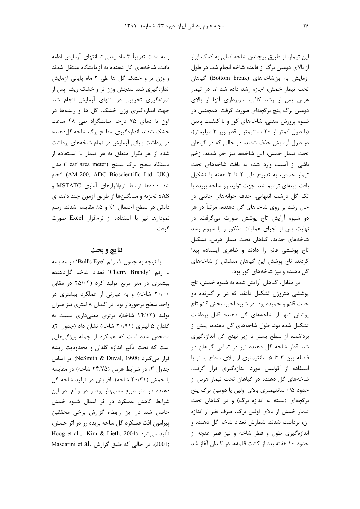این تیمار، از طریق پیچاندن شاخه اصلی به کمک ابزار از بالای دومین برگ از قاعده شاخه انجام شد. در طول آزمایش به بنشاخههای (Bottom break) گیاهان تحت تیمار خمش، اجازه رشد داده شد اما در تیمار هرس پس از رشد کافی، سربرداری آنها از بالای دومین برگ پنج برگچهای صورت گرفت. همچنین در شیوه پرورش سنتی، شاخههای کور و با کیفیت پایین (با طول كمتر از ٢٠ سانتيمتر و قطر زير ٣ ميليمتر)، در طول آزمایش حذف شدند، در حالی که در گیاهان تحت تیمار خمش، این شاخهها نیز خم شدند. زخم ناشی از آسیب وارد شده به بافت شاخههای تحت تیمار خمش، به تدریج طی ۲ تا ۳ هفته با تشکیل بافت پینهای ترمیم شد. جهت تولید رز شاخه بریده با تک گل درشت انتهایی، حذف جوانههای جانبی در حال رشد بر روی شاخههای گل دهنده، مرتبأ در هر دو شیوه آرایش تاج پوشش صورت میگرفت. در نهایت پس از اجرای عملیات مذکور و با شروع رشد شاخههای جدید، گیاهان تحت تیمار هرس، تشکیل تاج پوششی قائم را دادند و ظاهری ایستاده پیدا کردند. تاج پوشش این گیاهان متشکل از شاخههای گل دهنده و نیز شاخههای کور بود.

در مقابل، گیاهان آرایش شده به شیوه خمش، تاج پوششی هتروژن تشکیل دادند که در بر گیرنده دو حالت قائم و خمیده بود. در شیوه اخیر، بخش قائم تاج پوشش تنها از شاخههای گل دهنده قابل برداشت تشکیل شده بود. طول شاخههای گل دهنده، پیش از برداشت، از سطح بستر تا زیر نهنج گل اندازهگیری شد. قطر شاخه گل دهنده نیز در تمامی گیاهان در فاصله بين ٣ تا ۵ سانتيمتري از بالاي سطح بستر با استفاده از کولیس مورد اندازهگیری قرار گرفت. شاخههای گل دهنده در گیاهان تحت تیمار هرس از حدود ۰/۵ سانتیمتری بالای اولین یا دومین برگ پنج برگچهای (بسته به اندازه برگ) و در گیاهان تحت تیمار خمش از بالای اولین برگ، صرف نظر از اندازه آن، برداشت شدند. شمارش تعداد شاخه گل دهنده و اندازهگیری طول و قطر شاخه و نیز قطر غنچه از حدود ١٠ هفته بعد از كشت قلمهها در گلدان آغاز شد

و به مدت تقریباً ۳ ماه یعنی تا انتهای آزمایش ادامه یافت. شاخههای گل دهنده به آزمایشگاه منتقل شدند و وزن تر و خشک گل ها طی ۲ ماه پایانی آزمایش اندازهگیری شد. سنجش وزن تر و خشک ریشه پس از نمونهگیری تخریبی در انتهای آزمایش انجام شد. جهت اندازهگیری وزن خشک، گل ها و ریشهها در آون با دمای ۷۵ درجه سانتیگراد طی ۴۸ ساعت خشک شدند. اندازهگیری سطح برگ شاخه گلدهنده در برداشت پایانی آزمایش در تمام شاخههای برداشت شده از هر تکرار متعلق به هر تیمار با استفاده از دستگاه سطح برگ سنج (Leaf area meter) مدل (AM-200, ADC Bioscientific Ltd. UK.) شد. دادهها توسط نرمافزارهای آماری MSTATC و SAS تجزیه و میانگینها از طریق آزمون چند دامنهای دانکن در سطح احتمال ١٪ و ۵٪ مقایسه شدند. رسم نمودارها نیز با استفاده از نرمافزار Excel صورت گر فت.

## نتايج و بحث

با توجه به جدول ١، رقم 'Bull's Eye' در مقايسه با رقم 'Cherry Brandy' تعداد شاخه گل دهنده بیشتری در متر مربع تولید کرد (۲۵/۰۴ در مقابل ۲۰/۰۰ شاخه) و به عبارتی از عملکرد بیشتری در واحد سطح برخوردار بود. در گلدان ۸ لیتری نیز میزان تولید (۲۴/۱۲ شاخه)، برتری معنیداری نسبت به گلدان ۵ لیتری (۲۰/۹۱ شاخه) نشان داد (جدول ۲). مشخص شده است که عملکرد از جمله ویژگیهایی است که تحت تأثیر اندازه گلدان و محدودیت ریشه قرار میگیرد (NeSmith & Duval, 1998). بر اساس جدول ۳، در شرایط هرس (۲۴/۷۵ شاخه) در مقایسه با خمش (۲۰/۳۱ شاخه)، افزایش در تولید شاخه گل دهنده در متر مربع معنیدار بود و در واقع، در این شرایط کاهش عملکرد در اثر اعمال شیوه خمش حاصل شد. در این رابطه، گزارش برخی محققین پیرامون افت عملکرد گل شاخه بریده رز در اثر خمش، Hoog et al., Kim & Lieth, 2004) تأئيد مي شود ,2001). در حالی که طبق گزارش .Mascarini et al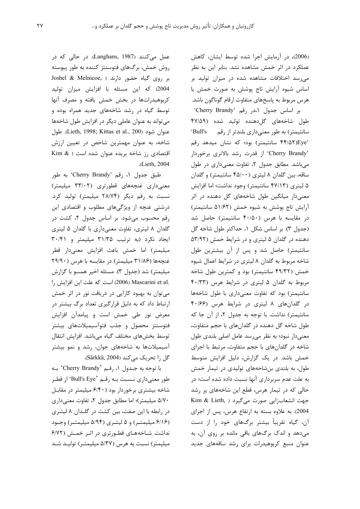(2006)، در آزمایش اجرا شده توسط ایشان، کاهش عملکرد در اثر خمش مشاهده نشد. بنابر این به نظر می رسد اختلافات مشاهده شده در میزان تولید بر اساس شيوه آرايش تاج پوشش به صورت خمش يا هرس مربوط به پاسخهای متفاوت ارقام گوناگون باشد.

بر اساس جدول ١،در رقم 'Cherry Brandy' طول شاخههای گلدهنده تولید شده (۴۷/۵۹ سانتیمتر) به طور معنیداری بلندتر از رقم Full's '۴۴/۵۲)Eye سانتیمتر) بود؛ که نشان میدهد رقم 'Cherry Brandy' از قدرت رشد بالاترى برخوردار می باشد. مطابق جدول ۲، تفاوت معنی داری در طول ساقه، بين گلدان ٨ ليتري (۴۵/۰۰ سانتيمتر) و گلدان ۵ لیتری (۴۷/۱۳ سانتیمتر) وجود نداشت؛ اما افزایش معنیدار میانگین طول شاخههای گل دهنده در اثر آرایش تاج پوشش به شیوه خمش (۵۱/۶۲ سانتیمتر) در مقایسه با هرس (۴۰/۵۰ سانتیمتر) حاصل شد (جدول ٣). بر اساس شكل ١، حداكثر طول شاخه گل دهنده در گلدان ۵ لیتری و در شرایط خمش (۵۳/۹۲ سانتیمتر) حاصل شد و پس از آن بیشترین طول شاخه مربوط به گلدان ۸ لیتری در شرایط اعمال شیوه خمش (۴۹/۳۲ سانتیمتر) بود و کمترین طول شاخه مربوط به گلدان ۵ لیتری در شرایط هرس (۴۰/۳۳ سانتیمتر) بود که تفاوت معنیداری با طول شاخهها در گلدانهای ۸ لیتری در شرایط هرس (۴۰/۶۶ سانتیمتر) نداشت. با توجه به جدول ۲، از آن جا که طول شاخه گل دهنده در گلدانهای با حجم متفاوت، معنیدار نبود؛ به نظر میرسد عامل اصلی بلندی طول شاخه در گلدانهای با حجم متفاوت، مرتبط با اجرای خمش باشد. در یک گزارش، دلیل افزایش متوسط طول، به بلندی بنشاخههای تولیدی در تیمار خمش به علت عدم سربرداری آنها نسبت داده شده است؛ در حالی که در تیمار هرس، قطع این شاخههای پر رشد Kim & Lieth, مورت میگیرد ( Kim & Lieth 2004). به علاوه بسته به ارتفاع هرس، پس از اجرای آن، گیاه تقریباً بیشتر برگهای خود را از دست مے،دھد و اندک برگھای باقی ماندہ بر روی آن، به عنوان منبع كربوهيدرات براى رشد ساقههاى جديد

عمل می کنند (Langhans, 1987). در حالی که در روش خمش، برگهای فتوسنتز کننده به طور پیوسته بر روی گیاه حضور دارند ( Joshel & Melnicoe, 2004) كه اين مسئله با افزايش ميزان توليد كربوهيدراتها در بخش خمش يافته و مصرف آنها توسط گیاه در رشد شاخههای جدید همراه بوده و می تواند به عنوان عاملی دیگر در افزایش طول شاخهها عنوان شود (Lieth, 1998; Kittas et al., 200). طول شاخه، به عنوان مهمترین شاخص در تعیین ارزش اقتصادی رز شاخه بریده عنوان شده است ( Kim & .(Lieth, 2004

طبق جدول ۱، رقم 'Cherry Brandy' به طور معنىدارى غنچەهاى قطورترى (٣٣/٠٢ ميليمتر) نسبت به رقم دیگر (۲۸/۷۴ میلیمتر) تولید کرد. درشتی غنچه از ویژگیهای مطلوب و اقتصادی این رقم محسوب میشود. بر اساس جدول ۲، کشت در گلدان ۸ لیتری، تفاوت معنیداری با گلدان ۵ لیتری ایجاد نکرد (به ترتیب ۳۱/۳۵ میلیمتر و ۳۰/۴۱ میلیمتر) اما خمش باعث افزایش معنیدار قطر غنچهها (۳۱/۸۶ میلیمتر) در مقایسه با هرس (۲۹/۹۰ میلیمتر) شد (جدول ۳). مسئله اخیر همسو با گزارش .Mascarini et al (2006) است كه علت اين افزايش ,ا می توان به بهبود کارایی در دریافت نور در اثر خمش ارتباط داد که به دلیل قرارگیری تعداد برگ بیشتر در معرض نور طی خمش است و پیامدآن افزایش فتوسنتز محصول و جذب فتوأسيميلاتهاى بيشتر توسط بخشهای مختلف گیاه میباشد. افزایش انتقال آسیمیلاتها به شاخههای جوان، رشد و نمو بیشتر گل را تحریک می کند (Särkkä, 2004).

با توجه به جـدول ۱، رقـم 'Cherry Brandy' بـه طور معنىدارى نـسبت بـه رقـم 'Bull's Eye' از قطـر شاخه بیشتری برخوردار بود (۶/۴۰ میلیمتر در مقابل ۵/۷۰ میلیمتر)؛ اما مطابق جدول ۲، تفاوت معنی داری در رابطه با این صفت، بین کشت در گلـدان ۸ لیتـری (۶/۱۶ میلیمتبر) و ۵ لیتبری (۵/۹۴ میلیمتبر) وجبود نداشت. شـاخههـای قطـورتری در اثـر خمـش (۶/۷۲ میلیمتر) نسبت به هرس (۵/۳۷ میلیمتـر) تولیـد شـد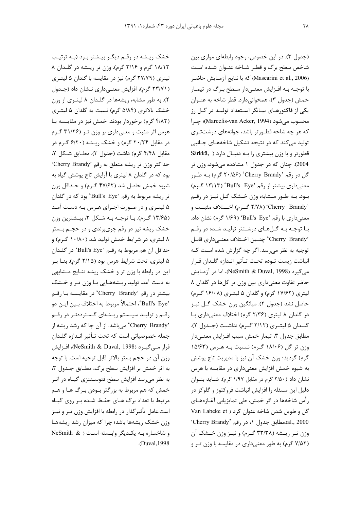خشک ریشه در رقم دیگر بیشتر بود (به ترتیب ١٨/١٢ گرم و ٣/١۶ گرم). وزن تر ريشه در گلدان ٨ لیتری (۲۷/۷۹ گرم) نیز در مقایسه با گلدان ۵ لیتـری (۲۳/۷۱ گرم)، افزایش معنیداری نشان داد (جدول ۲). به طور مشابه، ریشهها در گلـدان ۸ لیتـری از وزن خشک بالاتری (۵/۸۴ گرم) نسبت به گلدان ۵ لیتـری (۴/۸۲ گرم) برخوردار بودند. خمش نیز در مقایـسه بـا هرس اثر مثبت و معنیداری بر وزن تـر (۳۱/۲۶ گـرم  $\alpha$ در مقابل ۲۰/۲۴ گرم) و خشک ریسه (۶/۲۰ گرم در مقابل ۴/۴۸ گرم) داشت (جدول ۳). مطـابق شـكل ۲، حداکثر وزن تر ریشه متعلق به رقم 'Cherry Brandy' بود که در گلدان ۸ لیتری با آرایش تاج پوشش گیاه به شیوه خمش حاصل شد (۴۷/۶۲ گـرم) و حـداقل وزن تر ریشه مربوط به رقم 'Bull's Eye' بود که در گلدان ۵ لیتـری و در صـورت اجـرای هـرس بـه دسـت آمـد (۱۳/۶۵ گـرم). بـا توجـه بـه شـكل ۳، بيــشترين وزن خشک ریشه نیز در رقم چریبرندی و در حجــم بــستر ۸ لیتری، در شرایط خمش تولید شد (۱۰/۸۰ گـرم) و حداقل آن هم مربوط به رقــم 'Bull's Eye' در گلــدان ۵ لیتری، تحت شرایط هرس بود (۲/۱۵ گرم). بنــا بــر این در رابطه با وزن تر و خشک ریشه نتـایج مـشابهی به دست آمد. تولید ریـشههـایی بـا وزن تـر و خـشک بیشتر در رقم 'Cherry Brandy' در مقایسه بـا رقـم 'Bull's Eye'، احتمالاً مربوط به اختلاف بــين ايــن دو رقـم و توليــد سيــستم ريــشهاى گــستردهتــر در رقــم 'Cherry Brandy' می باشد. از آن جا که رشد ریشه از جمله خصوصیاتی است که تحت تـأثیر انـدازه گلـدان قرار مے گیے د (NeSmith & Duval, 1998)، افـزایش وزن آن در حجم بستر بالاتر قابل توجيه است. با توجه به اثر خمش بر افزایش سطح برگ، مطــابق جــدول ۳، به نظر میرسد افزایش سطح فتوسـنتزی گیــاه در اثــر خمش که هم مربوط به بزرگتر بـودن بـرگ هـا و هــم مرتبط با تعداد برگ هـاى حفـظ شـده بـر روى گيـاه است.عامل تأثیرگذار در رابطه با افزایش وزن تـر و نیــز وزن خشک ریشهها باشد؛ چرا که میزان رشد ریشهها و شاخساره بـه يكـديگر وابـسته اسـت ( & NeSmith .(Duval,1998

(جدول ٣). در اين خصوص، وجود رابطهاي موازي بين شاخص سطح برگ و قطـر شـاخه عنـوان شـده اسـت كه با نتايج آزمـايش حاضـر (Mascarini et al., 2006) با توجـه بــه افــزايش معنــىدار ســطح بــرگ در تيمــار خمش (جدول ۳)، همخوانیدارد. قطر شاخه به عنــوان یکی از فاکتورهای بیانگر استعداد تولید در گل رز محسوب مي شود (Marcelis-van Acker, 1994)؛ چـرا كه هر چه شاخه قطـورتر باشد، جوانههای درشتتـری تولید می کند که در نتیجه تشکیل شاخههای جـانبی Särkkä, ) += 4+, >.7<#, ! , .'j@ 2004). چنان که در جدول ۱ مشاهده میشود، وزن تر  $\mathcal{L}_{\mathcal{A}}$  کل در رقم 'Cherry Brandy' (۲۰/۵۶) کرم) بـه طـور (13/13) 'Bull's Eye' (18/13) معنیداری بیشتر از رقم 'Bull's Eye' محرم بود. بـه طـور مـشابه، وزن خـشک گـل نيـز در رقـم ;++=} SX7++E (d.++/ 2/78) 'Cherry Brandy' معنیداری با رقم 'Bull's Eye' (١/۶٩ گرم) نشان داد. بـا توجـه بـه گــلهـای درشــتتر توليـد شــده در رقــم `Cherry Brandy' چنـين اخـتلاف معنـيcاري قابـل توجیه به نظر میرسد. اگر چه گزارش شده است کـه انباشت زيست تـوده تحـت تـأثير انـدازه گلـدان قـرار مي گيرد (NeSmith & Duval, 1998)، اما در آزمــايش حاضر تفاوت معنی داری بین وزن تر گل ها در گلدان ۸ لیتری (۱۷/۶۲ گرم) و گلدان ۵ لیتری (۱۶/۰۸ گرم) حاصل نشد (جدول ٢). ميانگين وزن خشک گـل نيـز در گلدان ۸ لیتری (۲/۳۶ گرم) اختلاف معنیداری با گلــدان ۵ ليتــري (۲/۱۲ گــرم) نداشــت (جــدول ۲). مطابق جدول ۳، تیمار خمش سبب افــزایش معنــیدار  $10/87$ ) وزن تر گل (۱۸/۰۶ گـرم) نـسبت بـه هـرس (۱۵/۶۳ گرم) گرديد؛ وزن خشک آن نيز با مديريت تاج پوشش به شیوه خمش افزایش معنیداری در مقایسه با هرس نشان داد (٢/٥٠ گرم در مقابل ١/٩٧ گرم). شـايد بتـوان دلیل این مسئله را افزایش انباشت فروکتوز و گلوکز در رأس شاخهها در اثر خمش، طی تمایزیابی آغـازههـای  $Van$  Labeke et ) كل و طويل شدن شاخه عنوان كرد 'Cherry Brandy' مطابق جدول ١، در رقم 'Cherry Brandy' وزن تير ريسشه (٣٣/٣٨ گيرم) و نيبز وزن خيشک آن .(٧/۵٢ گرم) به طور معنی داری در مقایسه با وزن تـر و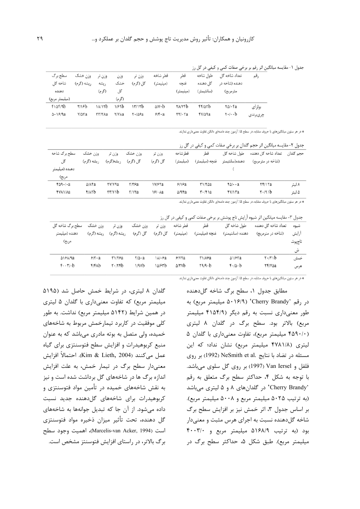جدول ١- مقايسه ميانگين اثر رقم بر برخي صفات كمي و كيفي در گل رز

| سطح برگ              | وزن تر ۔ وزن خشک |        | وزن          | وزن تر                                                     | قطر شاخه               | قط            | طول شاخه      | تعداد شاخه گل                                         | ر قم     |
|----------------------|------------------|--------|--------------|------------------------------------------------------------|------------------------|---------------|---------------|-------------------------------------------------------|----------|
| شاخه گا .            | ریشه (گرم)       | ريشه   | خشک          | گل (گرم)                                                   | (میلیمتر)              | غنجه          | گا . دهنده    | دهنده (شاخه د,                                        |          |
| دهنده                |                  | (گرم)  | گل           |                                                            |                        | (میلیمتر)     | (سانتيمتر)    | مترمربع)                                              |          |
| (میلیمتر مربع)       |                  |        | (گرم)        |                                                            |                        |               |               |                                                       |          |
| $f1\Delta f/9b$      | $\frac{1}{2}$    | 14/15  | 1/59b        | 17/17b                                                     | $\Delta$ / $V \cdot b$ | <b>TA/YFb</b> | FFIATD        | $\mathsf{r}\Delta\mathsf{l}\cdot\mathsf{r}\mathsf{a}$ | بولزاى   |
| $\Delta \cdot 19/9a$ | <b>Y/AYa</b>     | тт/тла | <b>Y/YAa</b> | $\mathsf{Y} \cdot \mathsf{I} \Delta \mathsf{F} \mathsf{a}$ | $5/5 \cdot a$          | $rrf$ . $ra$  | <b>FVIA9a</b> | $r \cdot \cdots b$                                    | چرىبرندى |

\* در هر ستون میانگینهای با حروف مشابه، در سطح ۵٪ آزمون چند دامنهای دانکن تفاوت معنیداری ندارند.

|                          |                     |                           |          |               |               | جدول ۲- مقایسه میانگین اثر حجم گلدان بر برخی صفات کمی و کیفی در گل رز |                      |                               |           |  |  |
|--------------------------|---------------------|---------------------------|----------|---------------|---------------|-----------------------------------------------------------------------|----------------------|-------------------------------|-----------|--|--|
| سطح برگ شاخه             | وزن خشک             | وزن تر                    | وزن خشک  | وزن تر        | قط شاخه       | قط                                                                    | طول شاخه گل          | تعداد شاخه گل دهنده           | حجم گلدان |  |  |
| گل                       | ریشه (گرم)          | ریشه(گرم)                 | گل (گرم) | گل (گرم)      | (میلیمتر)     | غنجه (ميليمتر)                                                        | دهنده(سانتيمتر       | (شاخه در مترمربع)             |           |  |  |
| دهنده (میلیمتر           |                     |                           |          |               |               |                                                                       |                      |                               |           |  |  |
| مربع)                    |                     |                           |          |               |               |                                                                       |                      |                               |           |  |  |
| $f \Delta$ 9./ $\cdot$ a | $\Delta/\lambda$ fa | ۲۷/۷۹a                    | $Y/Y$ ۶a | <b>IVISTa</b> | 9/19a         | ۳۱/۳۵a                                                                | $f \Delta / \cdot a$ | <b>TF/ITa</b>                 | ۸ لیتر    |  |  |
| <b>FYAVAa</b>            | <b>FIATD</b>        | $\forall \forall y \in B$ | Y/17a    | $\frac{5}{2}$ | $\Delta$ /94a | $\mathbf{r} \cdot \mathbf{r}$                                         | fy/1ra               | $\mathbf{Y} \cdot \mathbf{A}$ | ۵ ليتر    |  |  |

\* در هر ستون میانگینهای با حروف مشابه، در سطح ۵٪ آزمون چند دامنهای دانکن تفاوت معنیداری ندارند.

جدول ۳- مقایسه میانگین اثر شیوه آرایش تاج پوشش بر برخی صفات کمی و کیفی در گل رز

| سطح ہر گ شاخه گل | وزن خشک      | وزن تر          | وزن خشک       | وزن تر            | قط شاخه          | قط             | طول شاخه گل      | تعداد شاخه گل دهنده           | شيوه   |
|------------------|--------------|-----------------|---------------|-------------------|------------------|----------------|------------------|-------------------------------|--------|
| دهنده (میلیمتر   | ريشه (گرم)   | ريشه (گرم)      | گل (گرم)      | گل (گرم)          | (میلیمتر)        | غنچه (میلیمتر) | دهنده (سانتيمتر) | (شاخه در مترمربع)             | ارايش  |
| مربع)            |              |                 |               |                   |                  |                |                  |                               | تاج وش |
|                  |              |                 |               |                   |                  |                |                  |                               | ش      |
| $\Delta$ 161/9a  | 9/1.2        | T1/52           | $\frac{1}{2}$ | $\lambda/\cdot a$ | Y/YYa            | <b>TIAFA</b>   | 51/67a           | $\mathbf{r} \cdot \mathbf{r}$ | خمش    |
| $f \cdot f$      | <b>F/FAb</b> | $r \cdot r$ rfb | 1/9Vb         | 10/۶۳b            | $\Delta$ /۳۷ $b$ | $r9/9-b$       | $f - 10 - b$     | <b>TF/VAa</b>                 | هرس    |
|                  |              |                 |               |                   |                  |                |                  |                               |        |

گلدان ۸ لیتری، در شرایط خمش حاصل شد (۵۱۹۵ میلیمتر مربع) که تفاوت معنیداری با گلدان ۵ لیتری در همین شرایط (۵۱۴۲ میلیمتر مربع) نداشت. به طور کلی موفقیت در کاربرد تیمارخمش مربوط به شاخههای خمیده، ولی متصل به بوته مادری میباشد که به عنوان منبع کربوهیدرات و افزایش سطح فتوسنتزی برای گیاه عمل مي كنند (Kim & Lieth, 2004). احتمالاً افزايش معنیدار سطح برگ در تیمار خمش، به علت افزایش اندازه برگ ها در شاخههای گل برداشت شده است و نیز به نقش شاخههای خمیده در تأمین مواد فتوسنتزی و کربوهیدرات برای شاخههای گلدهنده جدید نسبت داده میشود. از آن جا که تبدیل جوانهها به شاخههای گل دهنده، تحت تأثیر میزان ذخیره مواد فتوسنتزی است (Marcelis-van Acker, 1994)، اهميت وجود سطح برگ بالاتر، در راستای افزایش فتوسنتز مشخص است. \* در هر ستون میانگینهای با حروف مشابه، در سطح ۵٪ آزمون چند دامنهای دانکن تفاوت معنیداری ندارند.

مطابق جدول ۱، سطح برگ شاخه گل دهنده در رقم 'Cherry Brandy' (۵۰۱۶/۹ میلیمتر مربع) به طور معنیداری نسبت به رقم دیگر (۴۱۵۴/۹ میلیمتر مربع) بالاتر بود. سطح برگ در گلدان ۸ لیتری (۴۵۹۰/۰ میلیمتر مربع)، تفاوت معنی داری با گلدان ۵ لیتری (۴۷۸۱/۸ میلیمتر مربع) نشان نداد؛ که این مسئله در تضاد با نتايج .NeSmith et al (1992) بر روى فلفل و Van Iersel (1997) بر روی گل سلوی میباشد. با توجه به شكل ۴، حداكثر سطح برگ متعلق به رقم 'Cherry Brandy' در گلدانهای ۸ و ۵ لیتری میباشد (به ترتیب ۵۰۲۵ میلیمتر مربع و ۵۰۰۸ میلیمتر مربع). بر اساس جدول ٣، اثر خمش نيز بر افزايش سطح برگ شاخه گلدهنده نسبت به اجرای هرس مثبت و معنیدار بود (به ترتیب ۵۱۶۸/۹ میلیمتر مربع و ۴۰۰۳/۰ میلیمتر مربع). طبق شکل ۵، حداکثر سطح برگ در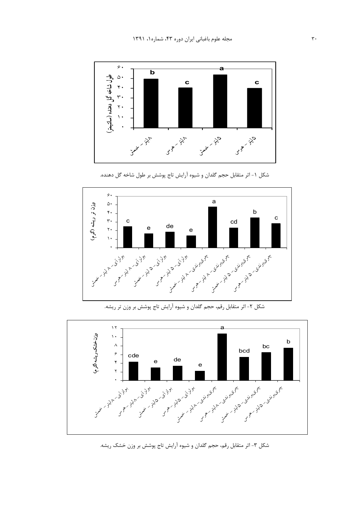

شکل ۱- اثر متقابل حجم گلدان و شیوه آرایش تاج پوشش بر طول شاخه گل دهنده.



a  $\gamma \gamma$  $\sqrt{10}$ وزنخشك ريشه أكرم وزن-خشک ریشه (گرم) b  $\boldsymbol{\wedge}$ bc bcd  $\epsilon$ cde e de  $\mathbf{r}$ e  $\overline{r}$  $\ddot{\phantom{0}}$ جمعي المحركة المحركة المحركة المحركة المحركة المحركة المحركة المحركة المحركة المحركة المحركة المحركة المحركة ا<br>المحركة المحركة المحركة المحركة المحركة المحركة المحركة المحركة المحركة المحركة المحركة المحركة المحركة المحرك - <sup>5</sup> - - <sup>5</sup> - - <sup>8</sup> - - <sup>8</sup> - - <sup>5</sup> - - <sup>5</sup> - تخريج تحريج

شکل ۲- اثر متقابل رقم، حجم گلدان و شیوه آرایش تاج پوشش بر وزن تر ریشه.

شکل ۳- اثر متقابل رقم، حجم گلدان و شیوه آرایش تاج پوشش بر وزن خشک ریشه.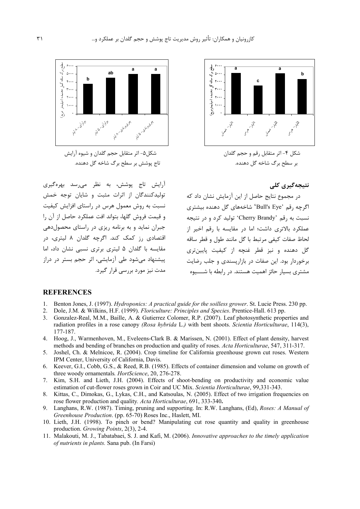

شكل ۴- اثر متقابل رقم و حجم گلدان بر سطح برگ شاخه گل دهنده.

نتیجەگیری کلی

در مجموع نتایج حاصل از این آزمایش نشان داد که اگرچه رقم 'Bull's Eye' شاخههای گل دهنده بیشتری نسبت به رقم 'Cherry Brandy' تولید کرد و در نتیجه عملکرد بالاتری داشت؛ اما در مقایسه با رقم اخیر از لحاظ صفات كيفي مرتبط با گل مانند طول و قطر ساقه گل دهنده و نیز قطر غنچه از کیفیت پایینتری برخوردار بود. این صفات در بازاریسندی و جلب رضایت مشتری بسیار حائز اهمیت هستند. در رابطه با شــــیوه



شكل۵- اثر متقابل حجم گلدان و شيوه آرايش ۔<br>تاج پوشش بر سطح برگ شاخه گل دهنده.

آرایش تاج یوشش، به نظر می سد بهرهگیری تولیدکنندگان از اثرات مثبت و شایان توجه خمش نسبت به روش معمول هرس در راستای افزایش کیفیت و قيمت فروش گلها، بتواند افت عملكرد حاصل از آن را جبران نماید و به برنامه ریزی در راستای محصول هی اقتصادی رز کمک کند. اگرچه گلدان ۸ لیتری، در مقایسه با گلدان ۵ لیتری برتری نسبی نشان داد، اما ییشنهاد مے،شود طی آزمایشے، اثر حجم بستر در دراز مدت نیز مورد بررسی قرار گیرد.

### **REFERENCES**

- 1. Benton Jones, J. (1997). Hydroponics: A practical guide for the soilless grower. St. Lucie Press. 230 pp.
- 2. Dole, J.M. & Wilkins, H.F. (1999). Floriculture: Principles and Species. Prentice-Hall. 613 pp.
- 3. Gonzalez-Real, M.M., Baille, A. & Gutierrez Colomer, R.P. (2007). Leaf photosynthetic properties and radiation profiles in a rose canopy (Rosa hybrida L.) with bent shoots. Scientia Horticulturae, 114(3), 177-187.
- 4. Hoog, J., Warmenhoven, M., Eveleens-Clark B. & Marissen, N. (2001). Effect of plant density, harvest methods and bending of branches on production and quality of roses. Acta Horticulturae, 547, 311-317.
- Joshel, Ch. & Melnicoe, R. (2004). Crop timeline for California greenhouse grown cut roses. Western  $5_{-}$ IPM Center, University of California, Davis.
- Keever, G.I., Cobb, G.S., & Reed, R.B. (1985). Effects of container dimension and volume on growth of 6. three woody ornamentals. HortScience, 20, 276-278.
- Kim, S.H. and Lieth, J.H. (2004). Effects of shoot-bending on productivity and economic value 7 estimation of cut-flower roses grown in Coir and UC Mix. Scientia Horticulturae, 99.331-343.
- Kittas, C., Dimokas, G., Lykas, C.H., and Katsoulas, N. (2005). Effect of two irrigation frequencies on  $\mathsf{R}$ rose flower production and quality. Acta Horticulturae, 691, 333-340.
- Langhans, R.W. (1987). Timing, pruning and supporting. In: R.W. Langhans, (Ed), Roses: A Manual of 9. Greenhouse Production. (pp. 65-70) Roses Inc., Haslett, MI.
- 10. Lieth, J.H. (1998). To pinch or bend? Manipulating cut rose quantity and quality in greenhouse production. Growing Points, 2(3), 2-4.
- 11. Malakouti, M. J., Tabatabaei, S. J. and Kafi, M. (2006). Innovative approaches to the timely application of nutrients in plants. Sana pub. (In Farsi)